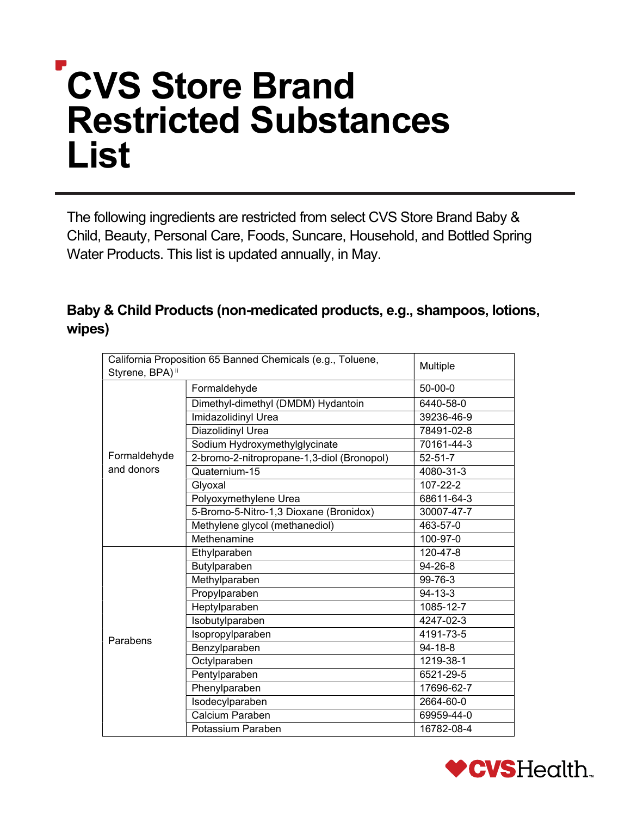# CVS Store Brand List Restricted Substances

 The following ingredients are restricted from select CVS Store Brand Baby & Child, Beauty, Personal Care, Foods, Suncare, Household, and Bottled Spring Water Products. This list is updated annually, in May.

## Baby & Child Products (non-medicated products, e.g., shampoos, lotions, wipes)

| California Proposition 65 Banned Chemicals (e.g., Toluene,<br>Styrene, BPA) <sup>ii</sup> |                                            | Multiple      |
|-------------------------------------------------------------------------------------------|--------------------------------------------|---------------|
|                                                                                           | Formaldehyde                               | $50-00-0$     |
|                                                                                           | Dimethyl-dimethyl (DMDM) Hydantoin         | 6440-58-0     |
|                                                                                           | Imidazolidinyl Urea                        | 39236-46-9    |
|                                                                                           | Diazolidinyl Urea                          | 78491-02-8    |
|                                                                                           | Sodium Hydroxymethylglycinate              | 70161-44-3    |
| Formaldehyde                                                                              | 2-bromo-2-nitropropane-1,3-diol (Bronopol) | $52 - 51 - 7$ |
| and donors                                                                                | Quaternium-15                              | 4080-31-3     |
|                                                                                           | Glyoxal                                    | 107-22-2      |
|                                                                                           | Polyoxymethylene Urea                      | 68611-64-3    |
|                                                                                           | 5-Bromo-5-Nitro-1,3 Dioxane (Bronidox)     | 30007-47-7    |
|                                                                                           | Methylene glycol (methanediol)             | 463-57-0      |
|                                                                                           | Methenamine                                | 100-97-0      |
|                                                                                           | Ethylparaben                               | 120-47-8      |
|                                                                                           | Butylparaben                               | 94-26-8       |
|                                                                                           | Methylparaben                              | 99-76-3       |
|                                                                                           | Propylparaben                              | $94 - 13 - 3$ |
|                                                                                           | Heptylparaben                              | 1085-12-7     |
|                                                                                           | Isobutylparaben                            | 4247-02-3     |
| Parabens                                                                                  | Isopropylparaben                           | 4191-73-5     |
|                                                                                           | Benzylparaben                              | $94 - 18 - 8$ |
|                                                                                           | Octylparaben                               | 1219-38-1     |
|                                                                                           | Pentylparaben                              | 6521-29-5     |
|                                                                                           | Phenylparaben                              | 17696-62-7    |
|                                                                                           | Isodecylparaben                            | 2664-60-0     |
|                                                                                           | Calcium Paraben                            | 69959-44-0    |
|                                                                                           | Potassium Paraben                          | 16782-08-4    |

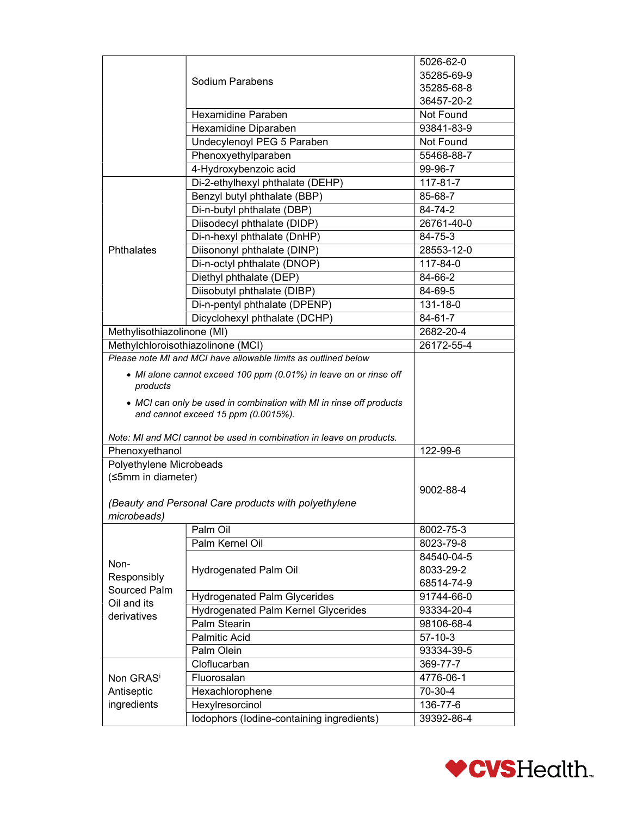|                                   |                                                                                                                                                                                 | 5026-62-0      |
|-----------------------------------|---------------------------------------------------------------------------------------------------------------------------------------------------------------------------------|----------------|
|                                   |                                                                                                                                                                                 | 35285-69-9     |
|                                   | Sodium Parabens                                                                                                                                                                 | 35285-68-8     |
|                                   |                                                                                                                                                                                 | 36457-20-2     |
|                                   | Hexamidine Paraben                                                                                                                                                              | Not Found      |
|                                   | Hexamidine Diparaben                                                                                                                                                            | 93841-83-9     |
|                                   | Undecylenoyl PEG 5 Paraben                                                                                                                                                      | Not Found      |
|                                   | Phenoxyethylparaben                                                                                                                                                             | 55468-88-7     |
|                                   | 4-Hydroxybenzoic acid                                                                                                                                                           | 99-96-7        |
|                                   | Di-2-ethylhexyl phthalate (DEHP)                                                                                                                                                | 117-81-7       |
|                                   | Benzyl butyl phthalate (BBP)                                                                                                                                                    | 85-68-7        |
|                                   | Di-n-butyl phthalate (DBP)                                                                                                                                                      | 84-74-2        |
|                                   | Diisodecyl phthalate (DIDP)                                                                                                                                                     | 26761-40-0     |
|                                   | Di-n-hexyl phthalate (DnHP)                                                                                                                                                     | 84-75-3        |
| Phthalates                        | Diisononyl phthalate (DINP)                                                                                                                                                     | 28553-12-0     |
|                                   | Di-n-octyl phthalate (DNOP)                                                                                                                                                     | $117 - 84 - 0$ |
|                                   | Diethyl phthalate (DEP)                                                                                                                                                         | 84-66-2        |
|                                   | Diisobutyl phthalate (DIBP)                                                                                                                                                     | 84-69-5        |
|                                   | Di-n-pentyl phthalate (DPENP)                                                                                                                                                   | 131-18-0       |
|                                   | Dicyclohexyl phthalate (DCHP)                                                                                                                                                   | 84-61-7        |
| Methylisothiazolinone (MI)        |                                                                                                                                                                                 | 2682-20-4      |
|                                   | Methylchloroisothiazolinone (MCI)                                                                                                                                               | 26172-55-4     |
|                                   | Please note MI and MCI have allowable limits as outlined below                                                                                                                  |                |
| products                          | • MI alone cannot exceed 100 ppm (0.01%) in leave on or rinse off<br>• MCI can only be used in combination with MI in rinse off products<br>and cannot exceed 15 ppm (0.0015%). |                |
| Phenoxyethanol                    | Note: MI and MCI cannot be used in combination in leave on products.                                                                                                            | 122-99-6       |
| Polyethylene Microbeads           |                                                                                                                                                                                 |                |
| (≤5mm in diameter)<br>microbeads) | (Beauty and Personal Care products with polyethylene                                                                                                                            | 9002-88-4      |
|                                   | Palm Oil                                                                                                                                                                        | 8002-75-3      |
|                                   | Palm Kernel Oil                                                                                                                                                                 | 8023-79-8      |
|                                   |                                                                                                                                                                                 | 84540-04-5     |
| Non-                              | Hydrogenated Palm Oil                                                                                                                                                           | 8033-29-2      |
| Responsibly                       |                                                                                                                                                                                 | 68514-74-9     |
| Sourced Palm                      | <b>Hydrogenated Palm Glycerides</b>                                                                                                                                             | 91744-66-0     |
| Oil and its                       | <b>Hydrogenated Palm Kernel Glycerides</b>                                                                                                                                      | 93334-20-4     |
| derivatives                       | Palm Stearin                                                                                                                                                                    | 98106-68-4     |
|                                   | <b>Palmitic Acid</b>                                                                                                                                                            | $57 - 10 - 3$  |
|                                   | Palm Olein                                                                                                                                                                      | 93334-39-5     |
|                                   | Cloflucarban                                                                                                                                                                    | 369-77-7       |
| Non GRASi                         | Fluorosalan                                                                                                                                                                     | 4776-06-1      |
| Antiseptic                        | Hexachlorophene                                                                                                                                                                 | 70-30-4        |
| ingredients                       | Hexylresorcinol                                                                                                                                                                 | 136-77-6       |
|                                   | Iodophors (Iodine-containing ingredients)                                                                                                                                       | 39392-86-4     |

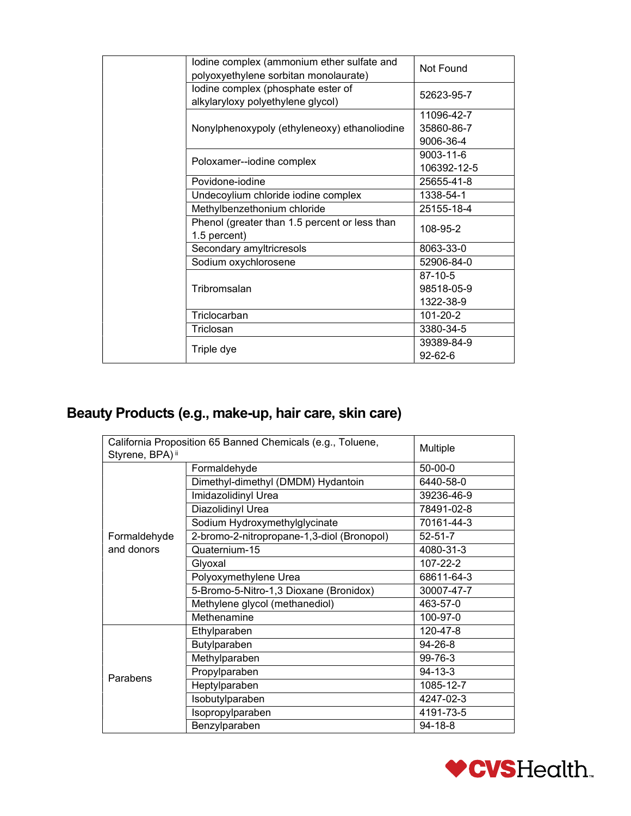| lodine complex (ammonium ether sulfate and<br>polyoxyethylene sorbitan monolaurate) | Not Found                             |
|-------------------------------------------------------------------------------------|---------------------------------------|
| lodine complex (phosphate ester of<br>alkylaryloxy polyethylene glycol)             | 52623-95-7                            |
| Nonylphenoxypoly (ethyleneoxy) ethanoliodine                                        | 11096-42-7<br>35860-86-7<br>9006-36-4 |
| Poloxamer--iodine complex                                                           | 9003-11-6<br>106392-12-5              |
| Povidone-iodine                                                                     | 25655-41-8                            |
| Undecoylium chloride iodine complex                                                 | 1338-54-1                             |
| Methylbenzethonium chloride                                                         | 25155-18-4                            |
| Phenol (greater than 1.5 percent or less than<br>1.5 percent)                       | 108-95-2                              |
| Secondary amyltricresols                                                            | 8063-33-0                             |
| Sodium oxychlorosene                                                                | 52906-84-0                            |
|                                                                                     | 87-10-5                               |
| Tribromsalan                                                                        | 98518-05-9                            |
|                                                                                     | 1322-38-9                             |
| Triclocarban                                                                        | 101-20-2                              |
| Triclosan                                                                           | 3380-34-5                             |
| Triple dye                                                                          | 39389-84-9<br>$92 - 62 - 6$           |

#### Beauty Products (e.g., make-up, hair care, skin care)

| California Proposition 65 Banned Chemicals (e.g., Toluene, |                                            | Multiple      |
|------------------------------------------------------------|--------------------------------------------|---------------|
| Styrene, BPA) <sup>ii</sup>                                |                                            |               |
|                                                            | Formaldehyde                               | $50-00-0$     |
|                                                            | Dimethyl-dimethyl (DMDM) Hydantoin         | 6440-58-0     |
|                                                            | Imidazolidinyl Urea                        | 39236-46-9    |
|                                                            | Diazolidinyl Urea                          | 78491-02-8    |
|                                                            | Sodium Hydroxymethylglycinate              | 70161-44-3    |
| Formaldehyde                                               | 2-bromo-2-nitropropane-1,3-diol (Bronopol) | $52 - 51 - 7$ |
| and donors                                                 | Quaternium-15                              | 4080-31-3     |
|                                                            | Glyoxal                                    | 107-22-2      |
|                                                            | Polyoxymethylene Urea                      | 68611-64-3    |
|                                                            | 5-Bromo-5-Nitro-1,3 Dioxane (Bronidox)     | 30007-47-7    |
|                                                            | Methylene glycol (methanediol)             | 463-57-0      |
|                                                            | Methenamine                                | 100-97-0      |
|                                                            | Ethylparaben                               | 120-47-8      |
|                                                            | Butylparaben                               | 94-26-8       |
|                                                            | Methylparaben                              | 99-76-3       |
| Parabens                                                   | Propylparaben                              | $94 - 13 - 3$ |
|                                                            | Heptylparaben                              | 1085-12-7     |
|                                                            | Isobutylparaben                            | 4247-02-3     |
|                                                            | Isopropylparaben                           | 4191-73-5     |
|                                                            | Benzylparaben                              | $94 - 18 - 8$ |

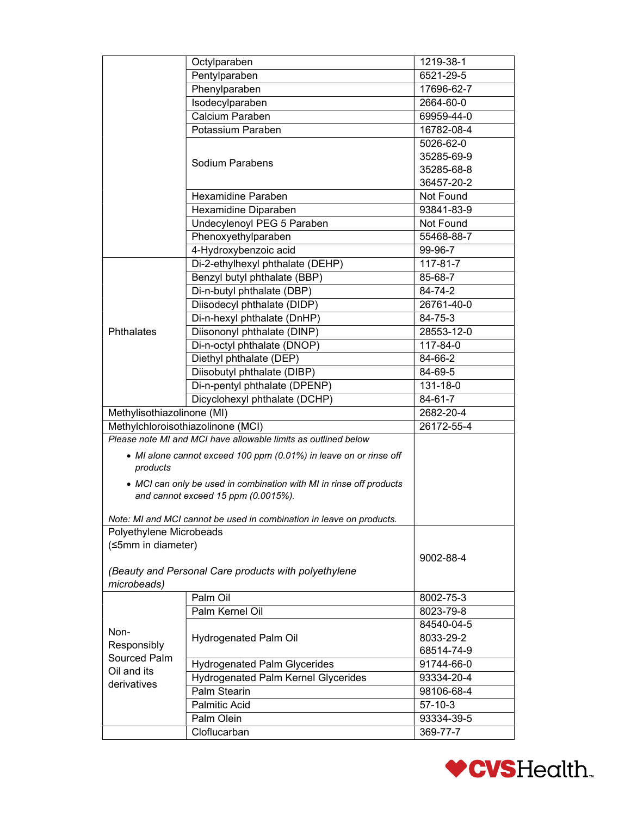|                                   | Octylparaben                                                                                               | 1219-38-1     |
|-----------------------------------|------------------------------------------------------------------------------------------------------------|---------------|
|                                   | Pentylparaben                                                                                              | 6521-29-5     |
|                                   | Phenylparaben                                                                                              | 17696-62-7    |
|                                   | Isodecylparaben                                                                                            | 2664-60-0     |
|                                   | Calcium Paraben                                                                                            | 69959-44-0    |
|                                   | Potassium Paraben                                                                                          | 16782-08-4    |
|                                   |                                                                                                            | 5026-62-0     |
|                                   |                                                                                                            | 35285-69-9    |
|                                   | Sodium Parabens                                                                                            | 35285-68-8    |
|                                   |                                                                                                            | 36457-20-2    |
|                                   | Hexamidine Paraben                                                                                         | Not Found     |
|                                   | Hexamidine Diparaben                                                                                       | 93841-83-9    |
|                                   | Undecylenoyl PEG 5 Paraben                                                                                 | Not Found     |
|                                   | Phenoxyethylparaben                                                                                        | 55468-88-7    |
|                                   | 4-Hydroxybenzoic acid                                                                                      | 99-96-7       |
|                                   | Di-2-ethylhexyl phthalate (DEHP)                                                                           | 117-81-7      |
|                                   | Benzyl butyl phthalate (BBP)                                                                               | 85-68-7       |
|                                   | Di-n-butyl phthalate (DBP)                                                                                 | 84-74-2       |
|                                   | Diisodecyl phthalate (DIDP)                                                                                | 26761-40-0    |
|                                   | Di-n-hexyl phthalate (DnHP)                                                                                | 84-75-3       |
| Phthalates                        | Diisononyl phthalate (DINP)                                                                                | 28553-12-0    |
|                                   | Di-n-octyl phthalate (DNOP)                                                                                | 117-84-0      |
|                                   | Diethyl phthalate (DEP)                                                                                    | 84-66-2       |
|                                   | Diisobutyl phthalate (DIBP)                                                                                | 84-69-5       |
|                                   | Di-n-pentyl phthalate (DPENP)                                                                              | 131-18-0      |
|                                   |                                                                                                            |               |
|                                   | Dicyclohexyl phthalate (DCHP)                                                                              | 84-61-7       |
| Methylisothiazolinone (MI)        |                                                                                                            | 2682-20-4     |
| Methylchloroisothiazolinone (MCI) | Please note MI and MCI have allowable limits as outlined below                                             | 26172-55-4    |
|                                   |                                                                                                            |               |
| products                          | • MI alone cannot exceed 100 ppm (0.01%) in leave on or rinse off                                          |               |
|                                   | • MCI can only be used in combination with MI in rinse off products<br>and cannot exceed 15 ppm (0.0015%). |               |
|                                   | Note: MI and MCI cannot be used in combination in leave on products.                                       |               |
| Polyethylene Microbeads           |                                                                                                            |               |
| (≤5mm in diameter)                |                                                                                                            |               |
|                                   |                                                                                                            | 9002-88-4     |
|                                   | (Beauty and Personal Care products with polyethylene                                                       |               |
| microbeads)                       |                                                                                                            |               |
|                                   | Palm Oil                                                                                                   | 8002-75-3     |
|                                   | Palm Kernel Oil                                                                                            | 8023-79-8     |
| Non-                              |                                                                                                            | 84540-04-5    |
| Responsibly                       | Hydrogenated Palm Oil                                                                                      | 8033-29-2     |
| Sourced Palm                      |                                                                                                            | 68514-74-9    |
| Oil and its                       | <b>Hydrogenated Palm Glycerides</b>                                                                        | 91744-66-0    |
| derivatives                       | <b>Hydrogenated Palm Kernel Glycerides</b>                                                                 | 93334-20-4    |
|                                   | Palm Stearin                                                                                               | 98106-68-4    |
|                                   | <b>Palmitic Acid</b>                                                                                       | $57 - 10 - 3$ |
|                                   | Palm Olein                                                                                                 | 93334-39-5    |
|                                   | Cloflucarban                                                                                               | 369-77-7      |

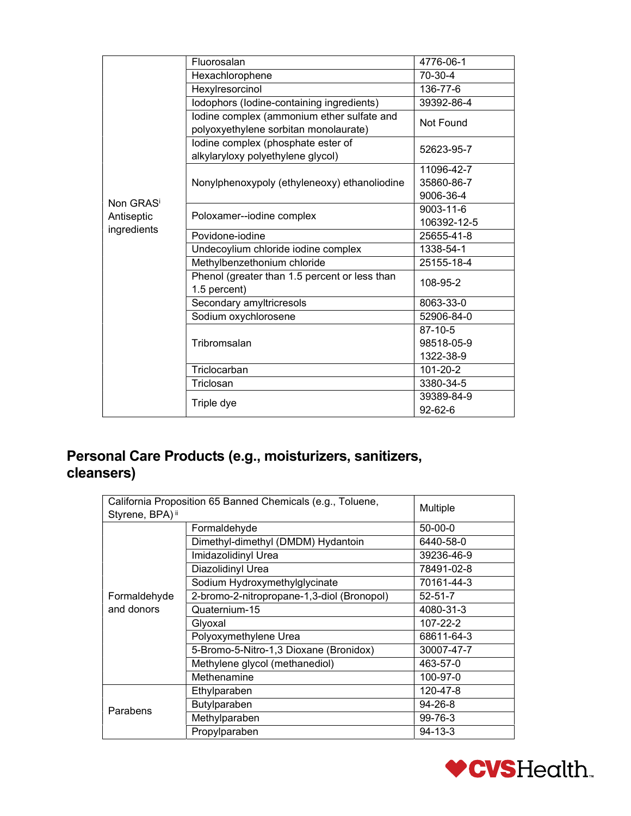|                           | Fluorosalan                                   | 4776-06-1     |
|---------------------------|-----------------------------------------------|---------------|
|                           | Hexachlorophene                               | 70-30-4       |
|                           | Hexylresorcinol                               | 136-77-6      |
|                           | Iodophors (Iodine-containing ingredients)     | 39392-86-4    |
|                           | lodine complex (ammonium ether sulfate and    | Not Found     |
|                           | polyoxyethylene sorbitan monolaurate)         |               |
|                           | lodine complex (phosphate ester of            | 52623-95-7    |
|                           | alkylaryloxy polyethylene glycol)             |               |
|                           |                                               | 11096-42-7    |
|                           | Nonylphenoxypoly (ethyleneoxy) ethanoliodine  | 35860-86-7    |
| Non GRASi                 |                                               | 9006-36-4     |
|                           | Poloxamer--iodine complex                     | 9003-11-6     |
| Antiseptic<br>ingredients |                                               | 106392-12-5   |
|                           | Povidone-iodine                               | 25655-41-8    |
|                           | Undecoylium chloride iodine complex           | 1338-54-1     |
|                           | Methylbenzethonium chloride                   | 25155-18-4    |
|                           | Phenol (greater than 1.5 percent or less than | 108-95-2      |
|                           | 1.5 percent)                                  |               |
|                           | Secondary amyltricresols                      | 8063-33-0     |
|                           | Sodium oxychlorosene                          | 52906-84-0    |
|                           |                                               | 87-10-5       |
|                           | Tribromsalan                                  | 98518-05-9    |
|                           |                                               | 1322-38-9     |
|                           | Triclocarban                                  | 101-20-2      |
|                           | Triclosan                                     | 3380-34-5     |
|                           |                                               | 39389-84-9    |
|                           | Triple dye                                    | $92 - 62 - 6$ |

## Personal Care Products (e.g., moisturizers, sanitizers, cleansers)

| California Proposition 65 Banned Chemicals (e.g., Toluene,<br>Styrene, BPA) <sup>ii</sup> |                                            | Multiple      |
|-------------------------------------------------------------------------------------------|--------------------------------------------|---------------|
|                                                                                           | Formaldehyde                               | $50-00-0$     |
|                                                                                           | Dimethyl-dimethyl (DMDM) Hydantoin         | 6440-58-0     |
|                                                                                           | Imidazolidinyl Urea                        | 39236-46-9    |
|                                                                                           | Diazolidinyl Urea                          | 78491-02-8    |
|                                                                                           | Sodium Hydroxymethylglycinate              | 70161-44-3    |
| Formaldehyde                                                                              | 2-bromo-2-nitropropane-1,3-diol (Bronopol) | $52 - 51 - 7$ |
| and donors                                                                                | Quaternium-15                              | 4080-31-3     |
|                                                                                           | Glyoxal                                    | 107-22-2      |
|                                                                                           | Polyoxymethylene Urea                      | 68611-64-3    |
|                                                                                           | 5-Bromo-5-Nitro-1,3 Dioxane (Bronidox)     | 30007-47-7    |
|                                                                                           | Methylene glycol (methanediol)             | 463-57-0      |
|                                                                                           | Methenamine                                | 100-97-0      |
|                                                                                           | Ethylparaben                               | 120-47-8      |
| Parabens                                                                                  | Butylparaben                               | 94-26-8       |
|                                                                                           | Methylparaben                              | 99-76-3       |
|                                                                                           | Propylparaben                              | $94 - 13 - 3$ |

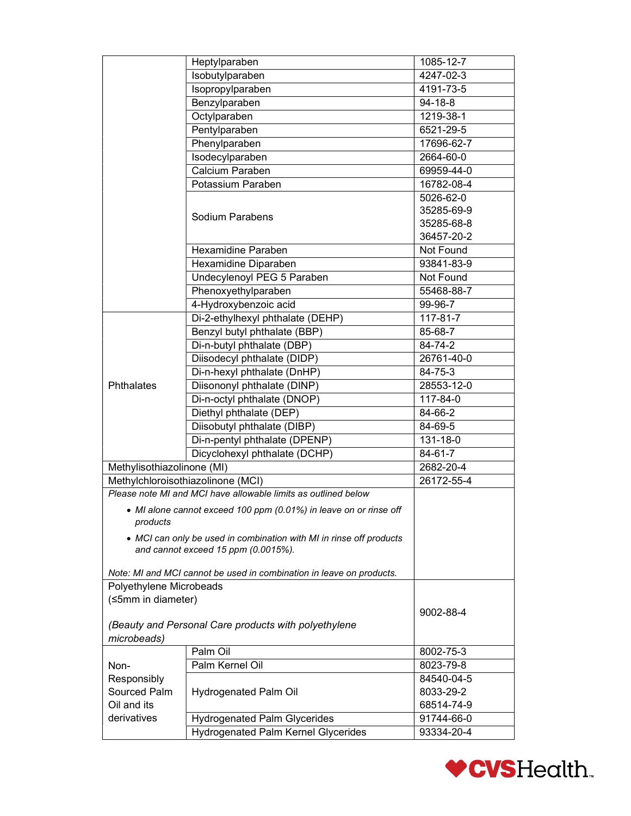|                            | Heptylparaben                                                        | 1085-12-7     |
|----------------------------|----------------------------------------------------------------------|---------------|
|                            | Isobutylparaben                                                      | 4247-02-3     |
|                            | Isopropylparaben                                                     | 4191-73-5     |
|                            | Benzylparaben                                                        | $94 - 18 - 8$ |
|                            | Octylparaben                                                         | 1219-38-1     |
|                            | Pentylparaben                                                        | 6521-29-5     |
|                            | Phenylparaben                                                        | 17696-62-7    |
|                            | Isodecylparaben                                                      | 2664-60-0     |
|                            | Calcium Paraben                                                      | 69959-44-0    |
|                            | Potassium Paraben                                                    | 16782-08-4    |
|                            |                                                                      | 5026-62-0     |
|                            |                                                                      | 35285-69-9    |
|                            | Sodium Parabens                                                      | 35285-68-8    |
|                            |                                                                      | 36457-20-2    |
|                            | Hexamidine Paraben                                                   | Not Found     |
|                            | Hexamidine Diparaben                                                 | 93841-83-9    |
|                            | Undecylenoyl PEG 5 Paraben                                           | Not Found     |
|                            | Phenoxyethylparaben                                                  | 55468-88-7    |
|                            | 4-Hydroxybenzoic acid                                                | 99-96-7       |
|                            | Di-2-ethylhexyl phthalate (DEHP)                                     | 117-81-7      |
|                            | Benzyl butyl phthalate (BBP)                                         | 85-68-7       |
|                            | Di-n-butyl phthalate (DBP)                                           | 84-74-2       |
|                            |                                                                      |               |
|                            | Diisodecyl phthalate (DIDP)                                          | 26761-40-0    |
|                            | Di-n-hexyl phthalate (DnHP)                                          | 84-75-3       |
| Phthalates                 | Diisononyl phthalate (DINP)                                          | 28553-12-0    |
|                            | Di-n-octyl phthalate (DNOP)                                          | 117-84-0      |
|                            | Diethyl phthalate (DEP)                                              | 84-66-2       |
|                            | Diisobutyl phthalate (DIBP)                                          | 84-69-5       |
|                            | Di-n-pentyl phthalate (DPENP)                                        | 131-18-0      |
|                            | Dicyclohexyl phthalate (DCHP)                                        | 84-61-7       |
| Methylisothiazolinone (MI) |                                                                      | 2682-20-4     |
|                            | Methylchloroisothiazolinone (MCI)                                    | 26172-55-4    |
|                            | Please note MI and MCI have allowable limits as outlined below       |               |
|                            | • MI alone cannot exceed 100 ppm (0.01%) in leave on or rinse off    |               |
| products                   |                                                                      |               |
|                            | • MCI can only be used in combination with MI in rinse off products  |               |
|                            | and cannot exceed 15 ppm (0.0015%).                                  |               |
|                            |                                                                      |               |
|                            | Note: MI and MCI cannot be used in combination in leave on products. |               |
| Polyethylene Microbeads    |                                                                      |               |
| (≤5mm in diameter)         |                                                                      |               |
|                            |                                                                      | 9002-88-4     |
|                            | (Beauty and Personal Care products with polyethylene                 |               |
| microbeads)                |                                                                      |               |
|                            | Palm Oil                                                             | 8002-75-3     |
| Non-                       | Palm Kernel Oil                                                      | 8023-79-8     |
| Responsibly                |                                                                      | 84540-04-5    |
| Sourced Palm               | Hydrogenated Palm Oil                                                | 8033-29-2     |
| Oil and its                |                                                                      | 68514-74-9    |
| derivatives                | Hydrogenated Palm Glycerides                                         | 91744-66-0    |
|                            | <b>Hydrogenated Palm Kernel Glycerides</b>                           | 93334-20-4    |

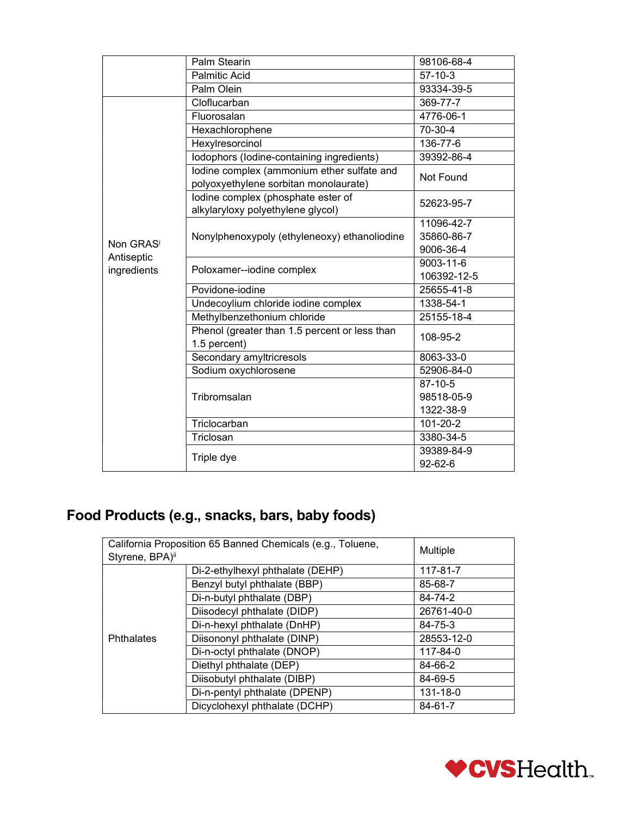|                                     | Palm Stearin                                                                        | 98106-68-4    |
|-------------------------------------|-------------------------------------------------------------------------------------|---------------|
|                                     | <b>Palmitic Acid</b>                                                                | $57 - 10 - 3$ |
|                                     | Palm Olein                                                                          | 93334-39-5    |
|                                     | Cloflucarban                                                                        | 369-77-7      |
|                                     | Fluorosalan                                                                         | 4776-06-1     |
|                                     | Hexachlorophene                                                                     | 70-30-4       |
|                                     | Hexylresorcinol                                                                     | 136-77-6      |
|                                     | Iodophors (Iodine-containing ingredients)                                           | 39392-86-4    |
|                                     | lodine complex (ammonium ether sulfate and<br>polyoxyethylene sorbitan monolaurate) | Not Found     |
|                                     | lodine complex (phosphate ester of<br>alkylaryloxy polyethylene glycol)             | 52623-95-7    |
|                                     |                                                                                     | 11096-42-7    |
|                                     | Nonylphenoxypoly (ethyleneoxy) ethanoliodine                                        | 35860-86-7    |
| Non GRAS <sup>i</sup><br>Antiseptic |                                                                                     | 9006-36-4     |
| ingredients                         | Poloxamer--iodine complex                                                           | 9003-11-6     |
|                                     |                                                                                     | 106392-12-5   |
|                                     | Povidone-iodine                                                                     | 25655-41-8    |
|                                     | Undecoylium chloride iodine complex                                                 | 1338-54-1     |
|                                     | Methylbenzethonium chloride                                                         | 25155-18-4    |
|                                     | Phenol (greater than 1.5 percent or less than<br>1.5 percent)                       | 108-95-2      |
|                                     | Secondary amyltricresols                                                            | 8063-33-0     |
|                                     | Sodium oxychlorosene                                                                | 52906-84-0    |
|                                     |                                                                                     | 87-10-5       |
|                                     | Tribromsalan                                                                        | 98518-05-9    |
|                                     |                                                                                     | 1322-38-9     |
|                                     | Triclocarban                                                                        | 101-20-2      |
|                                     | Triclosan                                                                           | 3380-34-5     |
|                                     |                                                                                     | 39389-84-9    |
|                                     | Triple dye                                                                          | $92 - 62 - 6$ |

## Food Products (e.g., snacks, bars, baby foods)

| California Proposition 65 Banned Chemicals (e.g., Toluene, |                                  | Multiple   |
|------------------------------------------------------------|----------------------------------|------------|
| Styrene, BPA)ii                                            |                                  |            |
|                                                            | Di-2-ethylhexyl phthalate (DEHP) | 117-81-7   |
|                                                            | Benzyl butyl phthalate (BBP)     | 85-68-7    |
|                                                            | Di-n-butyl phthalate (DBP)       | 84-74-2    |
|                                                            | Diisodecyl phthalate (DIDP)      | 26761-40-0 |
|                                                            | Di-n-hexyl phthalate (DnHP)      | 84-75-3    |
| <b>Phthalates</b>                                          | Diisononyl phthalate (DINP)      | 28553-12-0 |
|                                                            | Di-n-octyl phthalate (DNOP)      | 117-84-0   |
|                                                            | Diethyl phthalate (DEP)          | 84-66-2    |
|                                                            | Diisobutyl phthalate (DIBP)      | 84-69-5    |
|                                                            | Di-n-pentyl phthalate (DPENP)    | 131-18-0   |
|                                                            | Dicyclohexyl phthalate (DCHP)    | 84-61-7    |

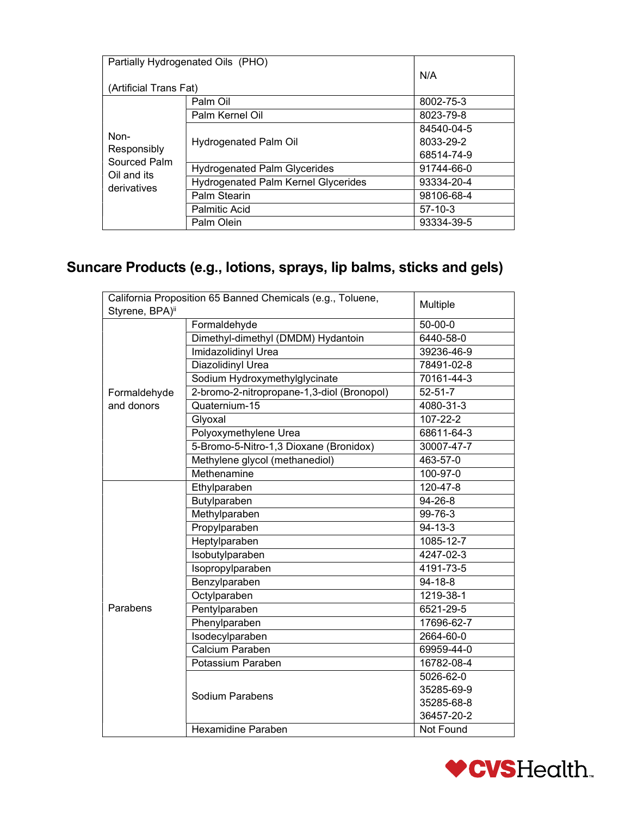| Partially Hydrogenated Oils (PHO)                                 |                                            |            |
|-------------------------------------------------------------------|--------------------------------------------|------------|
|                                                                   |                                            | N/A        |
| (Artificial Trans Fat)                                            |                                            |            |
|                                                                   | Palm Oil                                   | 8002-75-3  |
|                                                                   | Palm Kernel Oil                            | 8023-79-8  |
| Non-<br>Responsibly<br>Sourced Palm<br>Oil and its<br>derivatives |                                            | 84540-04-5 |
|                                                                   | Hydrogenated Palm Oil                      | 8033-29-2  |
|                                                                   |                                            | 68514-74-9 |
|                                                                   | <b>Hydrogenated Palm Glycerides</b>        | 91744-66-0 |
|                                                                   | <b>Hydrogenated Palm Kernel Glycerides</b> | 93334-20-4 |
|                                                                   | Palm Stearin                               | 98106-68-4 |
|                                                                   | <b>Palmitic Acid</b>                       | $57-10-3$  |
|                                                                   | Palm Olein                                 | 93334-39-5 |

### Suncare Products (e.g., lotions, sprays, lip balms, sticks and gels)

| California Proposition 65 Banned Chemicals (e.g., Toluene, |                                            | Multiple      |
|------------------------------------------------------------|--------------------------------------------|---------------|
| Styrene, BPA)ii                                            |                                            |               |
|                                                            | Formaldehyde                               | $50 - 00 - 0$ |
|                                                            | Dimethyl-dimethyl (DMDM) Hydantoin         | 6440-58-0     |
|                                                            | <b>Imidazolidinyl Urea</b>                 | 39236-46-9    |
|                                                            | <b>Diazolidinyl Urea</b>                   | 78491-02-8    |
|                                                            | Sodium Hydroxymethylglycinate              | 70161-44-3    |
| Formaldehyde                                               | 2-bromo-2-nitropropane-1,3-diol (Bronopol) | $52 - 51 - 7$ |
| and donors                                                 | Quaternium-15                              | 4080-31-3     |
|                                                            | Glyoxal                                    | 107-22-2      |
|                                                            | Polyoxymethylene Urea                      | 68611-64-3    |
|                                                            | 5-Bromo-5-Nitro-1,3 Dioxane (Bronidox)     | 30007-47-7    |
|                                                            | Methylene glycol (methanediol)             | 463-57-0      |
|                                                            | Methenamine                                | 100-97-0      |
|                                                            | Ethylparaben                               | 120-47-8      |
|                                                            | Butylparaben                               | $94 - 26 - 8$ |
|                                                            | Methylparaben                              | 99-76-3       |
|                                                            | Propylparaben                              | 94-13-3       |
|                                                            | Heptylparaben                              | 1085-12-7     |
|                                                            | Isobutylparaben                            | 4247-02-3     |
|                                                            | Isopropylparaben                           | 4191-73-5     |
|                                                            | Benzylparaben                              | 94-18-8       |
|                                                            | Octylparaben                               | 1219-38-1     |
| Parabens                                                   | Pentylparaben                              | 6521-29-5     |
|                                                            | Phenylparaben                              | 17696-62-7    |
|                                                            | Isodecylparaben                            | 2664-60-0     |
|                                                            | Calcium Paraben                            | 69959-44-0    |
|                                                            | Potassium Paraben                          | 16782-08-4    |
|                                                            |                                            | 5026-62-0     |
|                                                            | Sodium Parabens                            | 35285-69-9    |
|                                                            |                                            | 35285-68-8    |
|                                                            |                                            | 36457-20-2    |
|                                                            | <b>Hexamidine Paraben</b>                  | Not Found     |

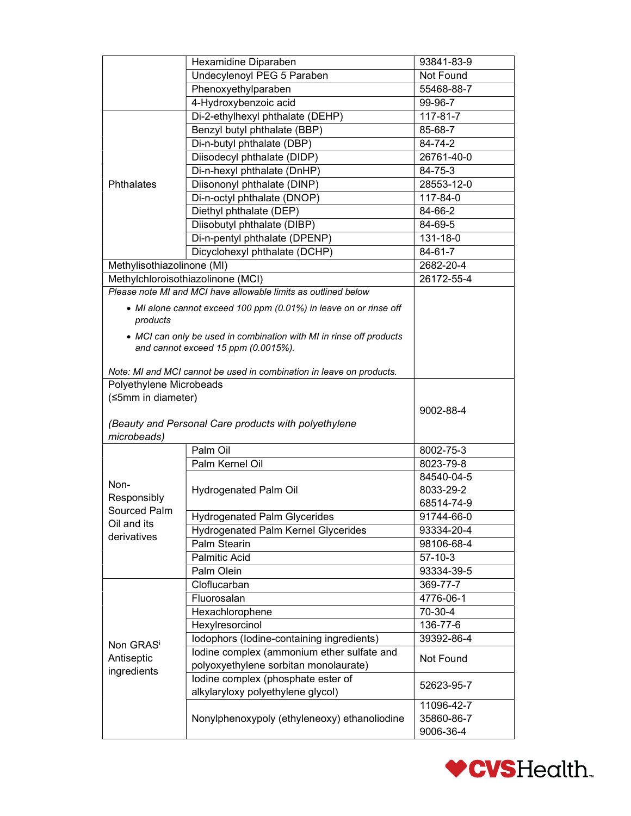|                            | Hexamidine Diparaben                                                 | 93841-83-9              |
|----------------------------|----------------------------------------------------------------------|-------------------------|
|                            | Undecylenoyl PEG 5 Paraben                                           | Not Found               |
|                            | Phenoxyethylparaben                                                  | 55468-88-7              |
|                            | 4-Hydroxybenzoic acid                                                | 99-96-7                 |
|                            | Di-2-ethylhexyl phthalate (DEHP)                                     | 117-81-7                |
| Phthalates                 | Benzyl butyl phthalate (BBP)                                         | 85-68-7                 |
|                            | Di-n-butyl phthalate (DBP)                                           | 84-74-2                 |
|                            | Diisodecyl phthalate (DIDP)                                          | 26761-40-0              |
|                            | Di-n-hexyl phthalate (DnHP)                                          | 84-75-3                 |
|                            | Diisononyl phthalate (DINP)                                          | 28553-12-0              |
|                            | Di-n-octyl phthalate (DNOP)                                          | 117-84-0                |
|                            | Diethyl phthalate (DEP)                                              | 84-66-2                 |
|                            | Diisobutyl phthalate (DIBP)                                          | 84-69-5                 |
|                            | Di-n-pentyl phthalate (DPENP)                                        | 131-18-0                |
|                            | Dicyclohexyl phthalate (DCHP)                                        | 84-61-7                 |
| Methylisothiazolinone (MI) |                                                                      | 2682-20-4               |
|                            | Methylchloroisothiazolinone (MCI)                                    | 26172-55-4              |
|                            | Please note MI and MCI have allowable limits as outlined below       |                         |
|                            | • MI alone cannot exceed 100 ppm (0.01%) in leave on or rinse off    |                         |
| products                   |                                                                      |                         |
|                            | • MCI can only be used in combination with MI in rinse off products  |                         |
|                            | and cannot exceed 15 ppm (0.0015%).                                  |                         |
|                            |                                                                      |                         |
|                            | Note: MI and MCI cannot be used in combination in leave on products. |                         |
| Polyethylene Microbeads    |                                                                      |                         |
|                            |                                                                      |                         |
| (≤5mm in diameter)         |                                                                      |                         |
|                            |                                                                      | 9002-88-4               |
|                            | (Beauty and Personal Care products with polyethylene                 |                         |
| microbeads)                |                                                                      |                         |
|                            | Palm Oil                                                             | 8002-75-3               |
|                            | Palm Kernel Oil                                                      | 8023-79-8               |
| Non-                       |                                                                      | 84540-04-5              |
| Responsibly                | <b>Hydrogenated Palm Oil</b>                                         | 8033-29-2               |
| Sourced Palm               |                                                                      | 68514-74-9              |
| Oil and its                | <b>Hydrogenated Palm Glycerides</b>                                  | 91744-66-0              |
| derivatives                | Hydrogenated Palm Kernel Glycerides                                  | 93334-20-4              |
|                            | Palm Stearin                                                         | 98106-68-4              |
|                            | Palmitic Acid                                                        | $57 - 10 - 3$           |
|                            | Palm Olein                                                           | 93334-39-5              |
|                            | Cloflucarban                                                         | 369-77-7                |
|                            | Fluorosalan                                                          | 4776-06-1               |
|                            | Hexachlorophene                                                      | 70-30-4                 |
|                            | Hexylresorcinol                                                      | 136-77-6                |
| Non GRAS <sup>i</sup>      | Iodophors (Iodine-containing ingredients)                            | 39392-86-4              |
| Antiseptic                 | lodine complex (ammonium ether sulfate and                           | Not Found               |
| ingredients                | polyoxyethylene sorbitan monolaurate)                                |                         |
|                            | lodine complex (phosphate ester of                                   | 52623-95-7              |
|                            | alkylaryloxy polyethylene glycol)                                    |                         |
|                            |                                                                      | 11096-42-7              |
|                            | Nonylphenoxypoly (ethyleneoxy) ethanoliodine                         | 35860-86-7<br>9006-36-4 |